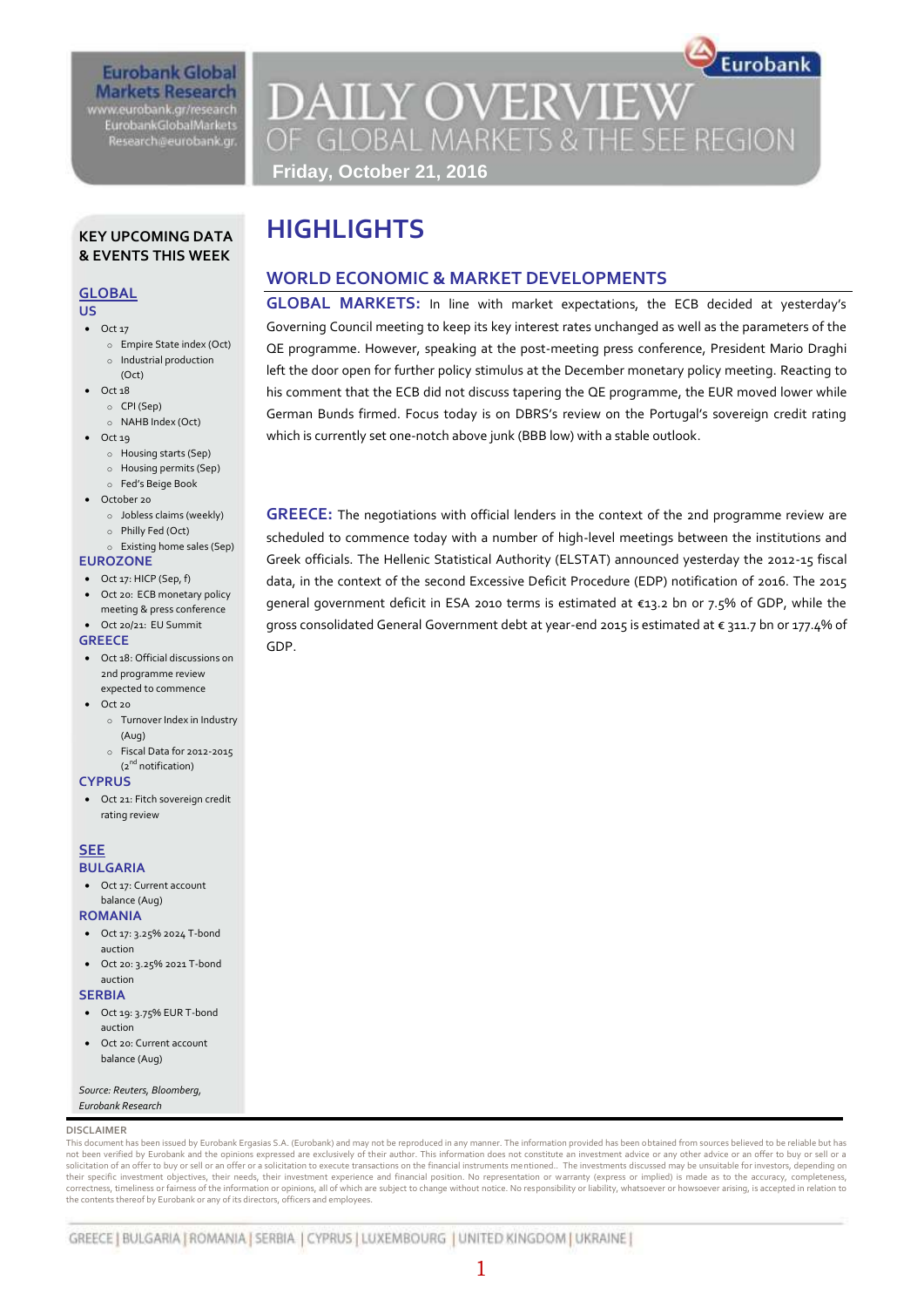# **Eurobank Global Markets Research**

www.eurobank.gr/research **EurobankGlobalMarkets** Research@eurobank.gr

Eurobank **DAILY OVERVIEW** OF GLOBAL MARKETS & THE SEE REGION **Friday, October 21, 2016**

### **KEY UPCOMING DATA & EVENTS THIS WEEK**

#### **GLOBAL**

- **US**
- $\bullet$  Oct 17
	- o Empire State index (Oct) o Industrial production
- (Oct)  $\bullet$  Oct 18
- o CPI (Sep)
	- o NAHB Index (Oct)
- $\bullet$  Oct 19
	- o Housing starts (Sep)
	- o Housing permits (Sep)
	- o Fed's Beige Book
- October 20
	- o Jobless claims (weekly)
	- o Philly Fed (Oct)
- o Existing home sales (Sep)

#### **EUROZONE**

- Oct 17: HICP (Sep, f)
- Oct 20: ECB monetary policy meeting & press conference Oct 20/21: EU Summit

## **GREECE**

- Oct 18: Official discussions on 2nd programme review
- expected to commence  $Oct 20$ 
	- o Turnover Index in Industry (Aug)
	- o Fiscal Data for 2012-2015  $(2^{nd}$  notification)

#### **CYPRUS**

 Oct 21: Fitch sovereign credit rating review

#### **SEE BULGARIA**

 Oct 17: Current account balance (Aug)

#### **ROMANIA**

- Oct 17: 3.25% 2024 T-bond auction
- Oct 20: 3.25% 2021 T-bond auction

#### **SERBIA**

- Oct 19: 3.75% EUR T-bond auction
- Oct 20: Current account balance (Aug)

#### *Source: Reuters, Bloomberg, Eurobank Research*

#### **DISCLAIMER**

This document has been issued by Eurobank Ergasias S.A. (Eurobank) and may not be reproduced in any manner. The information provided has been obtained from sources believed to be reliable but has not been verified by Eurobank and the opinions expressed are exclusively of their author. This information does not constitute an investment advice or any other advice or an offer to buy or sell or a solicitation of an offer to buy or sell or an offer or a solicitation to execute transactions on the financial instruments mentioned.. The investments discussed may be unsuitable for investors, depending on<br>their specific correctness, timeliness or fairness of the information or opinions, all of which are subject to change without notice. No responsibility or liability, whatsoever or howsoever arising, is accepted in relation to the contents thereof by Eurobank or any of its directors, officers and employees.

GREECE | BULGARIA | ROMANIA | SERBIA | CYPRUS | LUXEMBOURG | UNITED KINGDOM | UKRAINE |

# **HIGHLIGHTS**

## **WORLD ECONOMIC & MARKET DEVELOPMENTS**

**GLOBAL MARKETS:** In line with market expectations, the ECB decided at yesterday's Governing Council meeting to keep its key interest rates unchanged as well as the parameters of the QE programme. However, speaking at the post-meeting press conference, President Mario Draghi left the door open for further policy stimulus at the December monetary policy meeting. Reacting to his comment that the ECB did not discuss tapering the QE programme, the EUR moved lower while German Bunds firmed. Focus today is on DBRS's review on the Portugal's sovereign credit rating which is currently set one-notch above junk (BBB low) with a stable outlook.

**GREECE:** The negotiations with official lenders in the context of the 2nd programme review are scheduled to commence today with a number of high-level meetings between the institutions and Greek officials. The Hellenic Statistical Authority (ELSTAT) announced yesterday the 2012-15 fiscal data, in the context of the second Excessive Deficit Procedure (EDP) notification of 2016. The 2015 general government deficit in ESA 2010 terms is estimated at €13.2 bn or 7.5% of GDP, while the gross consolidated General Government debt at year-end 2015 is estimated at € 311.7 bn or 177.4% of GDP.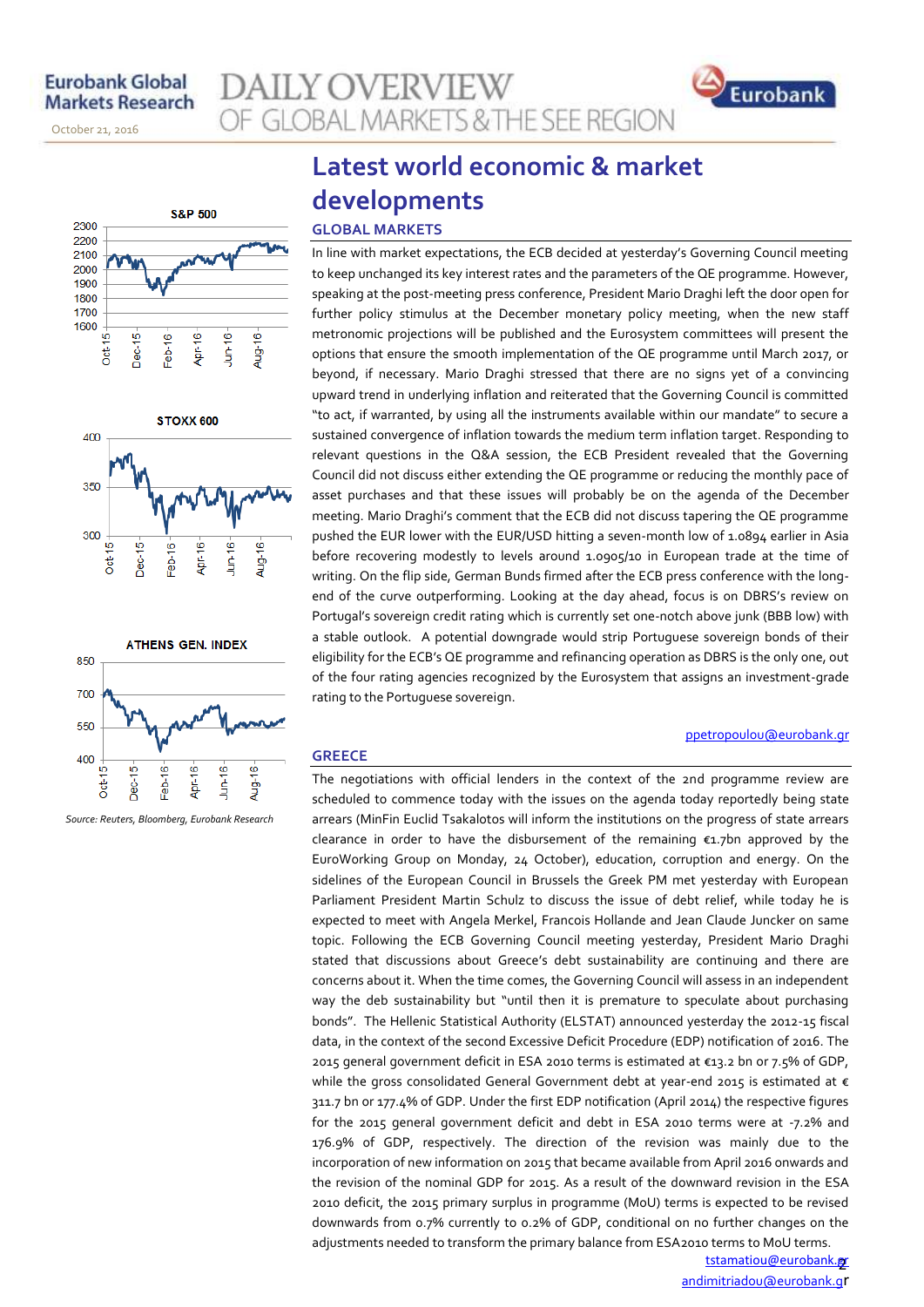November 14, 2013

October 21, 2016







*Source: Reuters, Bloomberg, Eurobank Research*

# **Latest world economic & market developments**

OF GLOBAL MARKETS & THE SEE REGION

### **GLOBAL MARKETS**

**AILY OVERVIEW** 

In line with market expectations, the ECB decided at yesterday's Governing Council meeting to keep unchanged its key interest rates and the parameters of the QE programme. However, speaking at the post-meeting press conference, President Mario Draghi left the door open for further policy stimulus at the December monetary policy meeting, when the new staff metronomic projections will be published and the Eurosystem committees will present the options that ensure the smooth implementation of the QE programme until March 2017, or beyond, if necessary. Mario Draghi stressed that there are no signs yet of a convincing upward trend in underlying inflation and reiterated that the Governing Council is committed "to act, if warranted, by using all the instruments available within our mandate" to secure a sustained convergence of inflation towards the medium term inflation target. Responding to relevant questions in the Q&A session, the ECB President revealed that the Governing Council did not discuss either extending the QE programme or reducing the monthly pace of asset purchases and that these issues will probably be on the agenda of the December meeting. Mario Draghi's comment that the ECB did not discuss tapering the QE programme pushed the EUR lower with the EUR/USD hitting a seven-month low of 1.0894 earlier in Asia before recovering modestly to levels around 1.0905/10 in European trade at the time of writing. On the flip side, German Bunds firmed after the ECB press conference with the longend of the curve outperforming. Looking at the day ahead, focus is on DBRS's review on Portugal's sovereign credit rating which is currently set one-notch above junk (BBB low) with a stable outlook. A potential downgrade would strip Portuguese sovereign bonds of their eligibility for the ECB's QE programme and refinancing operation as DBRS is the only one, out of the four rating agencies recognized by the Eurosystem that assigns an investment-grade rating to the Portuguese sovereign.

#### **GREECE**

The negotiations with official lenders in the context of the 2nd programme review are scheduled to commence today with the issues on the agenda today reportedly being state arrears (MinFin Euclid Tsakalotos will inform the institutions on the progress of state arrears clearance in order to have the disbursement of the remaining €1.7bn approved by the EuroWorking Group on Monday, 24 October), education, corruption and energy. On the sidelines of the European Council in Brussels the Greek PM met yesterday with European Parliament President Martin Schulz to discuss the issue of debt relief, while today he is expected to meet with Angela Merkel, Francois Hollande and Jean Claude Juncker on same topic. Following the ECB Governing Council meeting yesterday, President Mario Draghi stated that discussions about Greece's debt sustainability are continuing and there are concerns about it. When the time comes, the Governing Council will assess in an independent way the deb sustainability but "until then it is premature to speculate about purchasing bonds". The Hellenic Statistical Authority (ELSTAT) announced yesterday the 2012-15 fiscal data, in the context of the second Excessive Deficit Procedure (EDP) notification of 2016. The 2015 general government deficit in ESA 2010 terms is estimated at €13.2 bn or 7.5% of GDP, while the gross consolidated General Government debt at year-end 2015 is estimated at  $\epsilon$ 311.7 bn or 177.4% of GDP. Under the first EDP notification (April 2014) the respective figures for the 2015 general government deficit and debt in ESA 2010 terms were at -7.2% and 176.9% of GDP, respectively. The direction of the revision was mainly due to the incorporation of new information on 2015 that became available from April 2016 onwards and the revision of the nominal GDP for 2015. As a result of the downward revision in the ESA 2010 deficit, the 2015 primary surplus in programme (MoU) terms is expected to be revised downwards from 0.7% currently to 0.2% of GDP, conditional on no further changes on the adjustments needed to transform the primary balance from ESA2010 terms to MoU terms.

> <u>tstamatiou@eurobank.gr</u> andimitriadou@eurobank.gr

[ppetropoulou@eurobank.gr](mailto:ppetropoulou@eurobank.gr)

Eurobank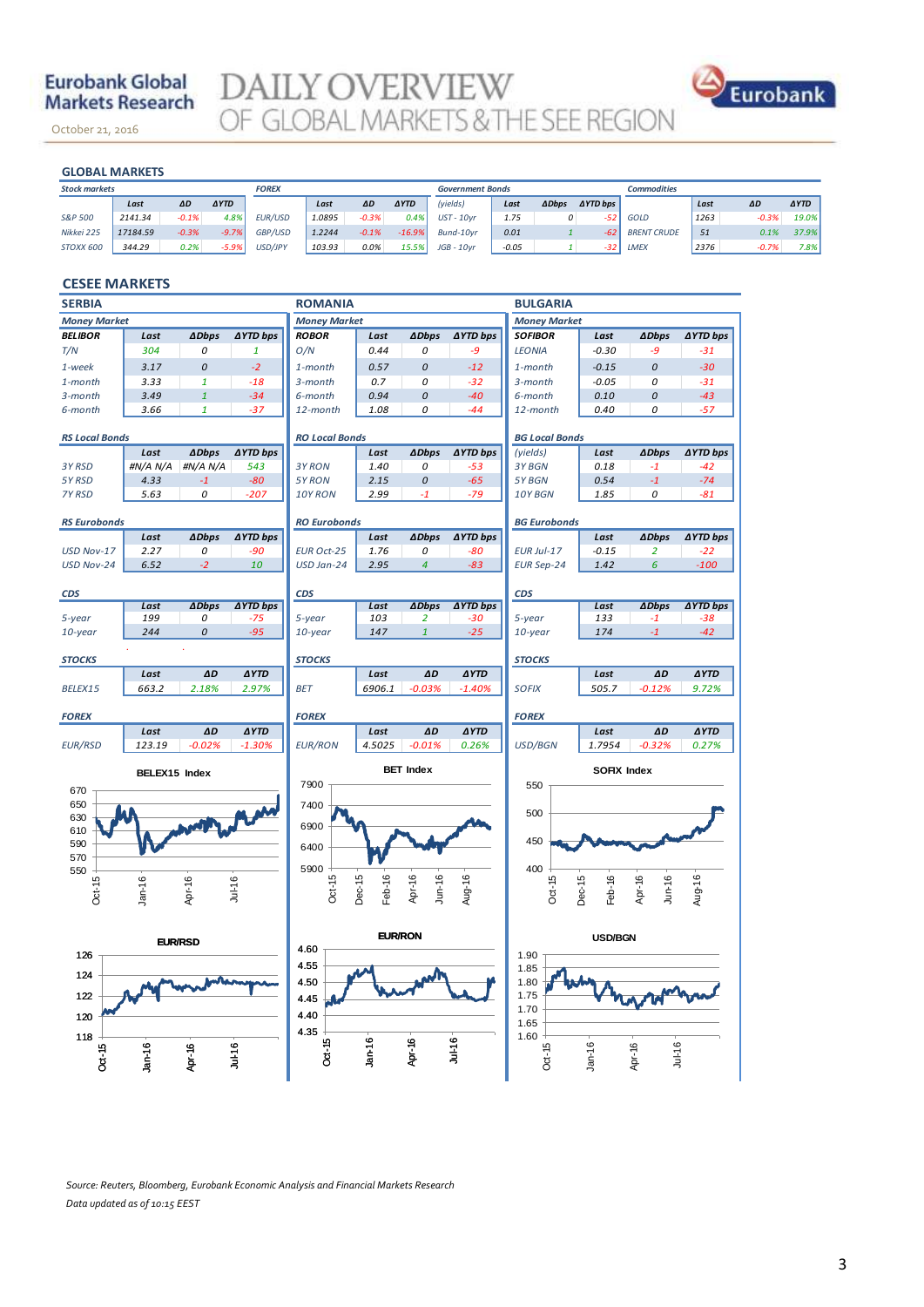# **Eurobank Global Markets Research**

November 14, 2013

October 21, 2016

DAILY OVERVIEW OF GLOBAL MARKETS & THE SEE REGION



## **GLOBAL MARKETS**

| <b>GLOBAL MARKETS</b> |          |         |             |                |        |         |             |                         |         |              |                     |                    |      |         |             |
|-----------------------|----------|---------|-------------|----------------|--------|---------|-------------|-------------------------|---------|--------------|---------------------|--------------------|------|---------|-------------|
| <b>Stock markets</b>  |          |         |             | <b>FOREX</b>   |        |         |             | <b>Government Bonds</b> |         |              |                     | <b>Commodities</b> |      |         |             |
|                       | Last     | ΔD      | <b>AYTD</b> |                | Last   | ΔD      | <b>AYTD</b> | (yields)                | Last    | <b>ADbps</b> | $\triangle$ YTD bps |                    | Last | ΔD      | <b>AYTD</b> |
| S&P 500               | 2141.34  | $-0.1%$ | 4.8%        | <b>EUR/USD</b> | 1.0895 | $-0.3%$ | 0.4%        | $UST - 10vr$            | 1.75    | 0            | $-52$               | GOLD               | 1263 | $-0.3%$ | 19.0%       |
| Nikkei 225            | 17184.59 | $-0.3%$ | $-9.7%$     | <b>GBP/USD</b> | 1.2244 | $-0.1%$ | $-16.9%$    | Bund-10vr               | 0.01    |              | $-62$               | <b>BRENT CRUDE</b> | 51   | 0.1%    | 37.9%       |
| STOXX 600             | 344.29   | 0.2%    | $-5.9%$     | USD/JPY        | 103.93 | 0.0%    | 15.5%       | $JGB - 10vr$            | $-0.05$ |              | $-32$               | LMEX               | 2376 | $-0.7%$ | 7.8%        |

#### **CESEE MARKETS**

| <b>SERBIA</b>                           |                  |                |                 | <b>ROMANIA</b>        |                  |                                |                 | <b>BULGARIA</b>       |                  |                     |                 |  |
|-----------------------------------------|------------------|----------------|-----------------|-----------------------|------------------|--------------------------------|-----------------|-----------------------|------------------|---------------------|-----------------|--|
| <b>Money Market</b>                     |                  |                |                 | <b>Money Market</b>   |                  |                                |                 | <b>Money Market</b>   |                  |                     |                 |  |
| <b>BELIBOR</b>                          | Last             | <b>ADbps</b>   | <b>AYTD bps</b> | <b>ROBOR</b>          | Last             | <b>ADbps</b>                   | <b>∆YTD bps</b> | <b>SOFIBOR</b>        | Last             | <b>ADbps</b>        | <b>∆YTD bps</b> |  |
| T/N                                     | 304              | 0              | $\mathbf{1}$    | O/N                   | 0.44             | 0                              | $-9$            | <b>LEONIA</b>         | $-0.30$          | -9                  | $-31$           |  |
| 1-week                                  | 3.17             | 0              | $-2$            | 1-month               | 0.57             | 0                              | $-12$           | 1-month               | $-0.15$          | 0                   | $-30$           |  |
| $1$ -month                              | 3.33             | $\mathbf{1}$   | $-18$           | 3-month               | 0.7              | 0                              | $-32$           | 3-month               | $-0.05$          | 0                   | $-31$           |  |
| 3-month                                 | 3.49             | $\mathbf{1}$   | $-34$           | 6-month               | 0.94             | 0                              | $-40$           | 6-month               | 0.10             | 0                   | $-43$           |  |
| 6-month                                 | 3.66             | $\mathbf{1}$   | $-37$           | 12-month              | 1.08             | 0                              | $-44$           | 12-month              | 0.40             | 0                   | $-57$           |  |
|                                         |                  |                |                 |                       |                  |                                |                 |                       |                  |                     |                 |  |
| <b>RS Local Bonds</b>                   |                  |                |                 | <b>RO Local Bonds</b> |                  |                                |                 | <b>BG Local Bonds</b> |                  |                     |                 |  |
|                                         | Last             | <b>ADbps</b>   | <b>∆YTD bps</b> |                       | Last             | <b>ADbps</b>                   | <b>∆YTD bps</b> | (yields)              | Last             | <b>ADbps</b>        | <b>AYTD bps</b> |  |
| 3Y RSD                                  | #N/A N/A<br>4.33 | #N/A N/A       | 543             | 3Y RON                | 1.40<br>2.15     | 0                              | $-53$           | 3Y BGN                | 0.18             | $-1$                | $-42$           |  |
| 5Y RSD<br>7Y RSD                        | 5.63             | $-1$<br>0      | $-80$<br>$-207$ | 5Y RON<br>10Y RON     | 2.99             | 0<br>$-1$                      | $-65$<br>$-79$  | 5Y BGN<br>10Y BGN     | 0.54<br>1.85     | $-1$<br>0           | $-74$<br>$-81$  |  |
|                                         |                  |                |                 |                       |                  |                                |                 |                       |                  |                     |                 |  |
| <b>RS Eurobonds</b>                     |                  |                |                 | <b>RO Eurobonds</b>   |                  |                                |                 | <b>BG Eurobonds</b>   |                  |                     |                 |  |
| Last<br><b>ADbps</b><br><b>∆YTD bps</b> |                  |                |                 | Last                  | <b>ADbps</b>     | <b>∆YTD bps</b>                |                 | Last                  | <b>ADbps</b>     | <b>AYTD bps</b>     |                 |  |
| USD Nov-17                              | 2.27             | 0              | $-90$           | <b>EUR Oct-25</b>     | 1.76             | 0                              | $-80$           | <b>EUR Jul-17</b>     | $-0.15$          | $\overline{a}$      | $-22$           |  |
| USD Nov-24                              | 6.52             | $-2$           | 10              | USD Jan-24            | 2.95             | $\overline{4}$                 | $-83$           | <b>EUR Sep-24</b>     | 1.42             | 6                   | $-100$          |  |
|                                         |                  |                |                 |                       |                  |                                |                 |                       |                  |                     |                 |  |
| <b>CDS</b>                              |                  |                |                 | <b>CDS</b>            |                  |                                |                 | <b>CDS</b>            |                  |                     |                 |  |
|                                         | Last             | <b>ADbps</b>   | <b>AYTD bps</b> |                       | Last             | <b>ADbps</b>                   | <b>AYTD bps</b> |                       | Last             | <b>ADbps</b>        | <b>AYTD bps</b> |  |
| 5-year                                  | 199<br>244       | 0<br>0         | -75<br>$-95$    | 5-year                | 103              | $\overline{2}$<br>$\mathbf{1}$ | $-30$           | 5-year                | 133              | $-1$                | $-38$           |  |
| $10$ -year                              |                  |                |                 | 10-year               | 147              |                                | $-25$           | 10-year               | 174              | $\mathbf{-1}$       | $-42$           |  |
| <b>STOCKS</b>                           |                  |                |                 | <b>STOCKS</b>         |                  |                                |                 | <b>STOCKS</b>         |                  |                     |                 |  |
|                                         | Last             | ΔD             | <b>AYTD</b>     |                       | Last             | ΔD                             | <b>AYTD</b>     |                       | Last             | ΔD                  | <b>AYTD</b>     |  |
| BELEX15                                 | 663.2            | 2.18%          | 2.97%           | <b>BET</b>            | 6906.1           | $-0.03%$                       | $-1.40%$        | <b>SOFIX</b>          | 505.7            | $-0.12%$            | 9.72%           |  |
|                                         |                  |                |                 |                       |                  |                                |                 |                       |                  |                     |                 |  |
| <b>FOREX</b>                            |                  |                |                 | <b>FOREX</b>          |                  |                                |                 | <b>FOREX</b>          |                  |                     |                 |  |
|                                         | Last             | AD             | <b>AYTD</b>     |                       | Last             | ΔD                             | <b>AYTD</b>     |                       | Last             | ΔD                  | <b>AYTD</b>     |  |
| <b>EUR/RSD</b>                          | 123.19           | $-0.02%$       | $-1.30%$        | <b>EUR/RON</b>        | 4.5025           | $-0.01%$                       | 0.26%           | <b>USD/BGN</b>        | 1.7954           | $-0.32%$            | 0.27%           |  |
|                                         | BELEX15 Index    |                |                 | <b>BET Index</b>      |                  |                                |                 | SOFIX Index           |                  |                     |                 |  |
|                                         |                  |                | 7900            |                       |                  |                                | 550             |                       |                  |                     |                 |  |
| 670<br>650                              |                  |                |                 |                       |                  |                                |                 |                       |                  |                     |                 |  |
| 630                                     |                  |                | 7400            |                       |                  |                                | 500             |                       |                  |                     |                 |  |
| 610                                     |                  |                | 6900            |                       |                  |                                |                 |                       |                  |                     |                 |  |
| 590                                     |                  |                | 6400            |                       |                  |                                | 450             |                       |                  |                     |                 |  |
| 570                                     |                  |                |                 |                       |                  |                                |                 |                       |                  |                     |                 |  |
| 550                                     |                  |                |                 | 5900                  |                  |                                |                 | 400                   |                  |                     |                 |  |
| $Oct-15$                                | $Jan-16$         | Apr-16         | Jul-16          | $Oct-15$              | Dec-15<br>Feb-16 | Apr-16<br>Jun-16               | Aug-16          | $Oct-15$              | Dec-15<br>Feb-16 | Apr-16<br>$J$ un-16 | Aug-16          |  |
|                                         |                  |                |                 |                       |                  |                                |                 |                       |                  |                     |                 |  |
|                                         |                  |                |                 |                       |                  |                                |                 |                       |                  |                     |                 |  |
|                                         |                  | <b>EUR/RSD</b> |                 | <b>EUR/RON</b>        |                  |                                |                 | <b>USD/BGN</b>        |                  |                     |                 |  |
| 126                                     |                  |                |                 | 4.60                  |                  |                                |                 | 1.90                  |                  |                     |                 |  |
|                                         |                  |                |                 | 4.55                  |                  |                                |                 | 1.85                  |                  |                     |                 |  |
| 124                                     |                  |                |                 | 4.50                  |                  |                                |                 | 1.80                  |                  |                     |                 |  |
| 122                                     |                  |                |                 | 4.45                  |                  |                                |                 |                       | 1.75             |                     |                 |  |
| 120                                     |                  |                |                 | 4.40                  |                  |                                |                 | 1.70                  |                  |                     |                 |  |
|                                         |                  |                |                 | 4.35                  |                  |                                |                 | 1.65<br>1.60          |                  |                     |                 |  |
| 118                                     |                  |                |                 | $Jan-16$<br>$Ju+16$   |                  |                                |                 |                       |                  |                     |                 |  |
| Oct-15                                  | $Jan-16$         | Apr-16         | Jul-16          | Oct-15                |                  | Apr-16                         |                 | $Oct-15$              | $Jan-16$         | Jul-16<br>Apr-16    |                 |  |
|                                         |                  |                |                 |                       |                  |                                |                 |                       |                  |                     |                 |  |

*Source: Reuters, Bloomberg, Eurobank Economic Analysis and Financial Markets Research Data updated as of 10:15 EEST*